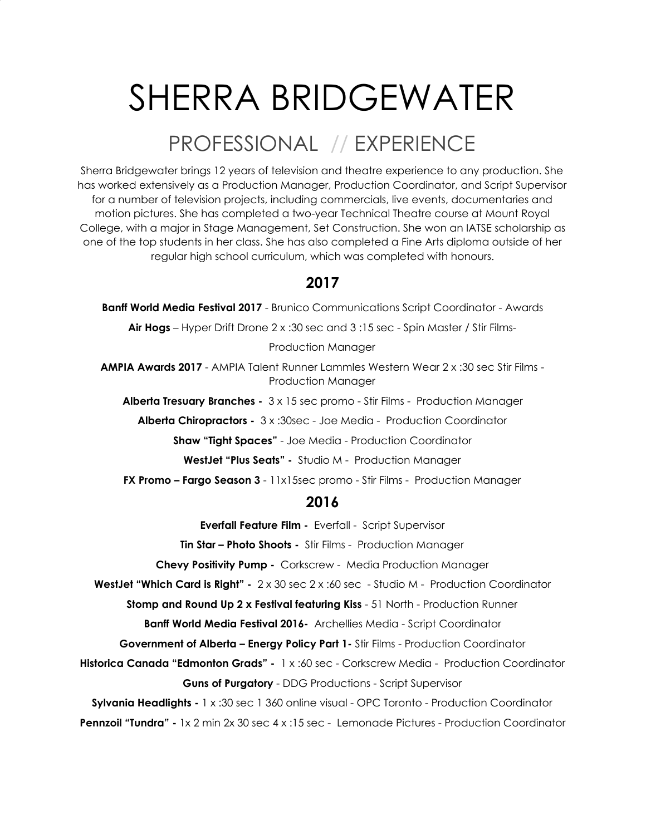# SHERRA BRIDGEWATER

## PROFESSIONAL // EXPERIENCE

Sherra Bridgewater brings 12 years of television and theatre experience to any production. She has worked extensively as a Production Manager, Production Coordinator, and Script Supervisor for a number of television projects, including commercials, live events, documentaries and motion pictures. She has completed a two-year Technical Theatre course at Mount Royal College, with a major in Stage Management, Set Construction. She won an IATSE scholarship as one of the top students in her class. She has also completed a Fine Arts diploma outside of her regular high school curriculum, which was completed with honours.

### **2017**

**Banff World Media Festival 2017** - Brunico Communications Script Coordinator - Awards

**Air Hogs** – Hyper Drift Drone 2 x :30 sec and 3 :15 sec - Spin Master / Stir Films-

Production Manager

**AMPIA Awards 2017** - AMPIA Talent Runner Lammles Western Wear 2 x :30 sec Stir Films - Production Manager

**Alberta Tresuary Branches -** 3 x 15 sec promo - Stir Films - Production Manager

**Alberta Chiropractors -** 3 x :30sec - Joe Media - Production Coordinator

**Shaw "Tight Spaces"** - Joe Media - Production Coordinator

**WestJet "Plus Seats" -** Studio M - Production Manager

**FX Promo – Fargo Season 3** - 11x15sec promo - Stir Films - Production Manager

#### **2016**

**Everfall Feature Film -** Everfall - Script Supervisor

**Tin Star – Photo Shoots -** Stir Films - Production Manager

**Chevy Positivity Pump -** Corkscrew - Media Production Manager

**WestJet "Which Card is Right" -** 2 x 30 sec 2 x :60 sec - Studio M - Production Coordinator

**Stomp and Round Up 2 x Festival featuring Kiss** - 51 North - Production Runner

**Banff World Media Festival 2016-** Archellies Media - Script Coordinator

**Government of Alberta – Energy Policy Part 1-** Stir Films - Production Coordinator

**Historica Canada "Edmonton Grads" -** 1 x :60 sec - Corkscrew Media - Production Coordinator **Guns of Purgatory** - DDG Productions - Script Supervisor

**Sylvania Headlights -** 1 x :30 sec 1 360 online visual - OPC Toronto - Production Coordinator

**Pennzoil "Tundra" -** 1x 2 min 2x 30 sec 4 x :15 sec - Lemonade Pictures - Production Coordinator